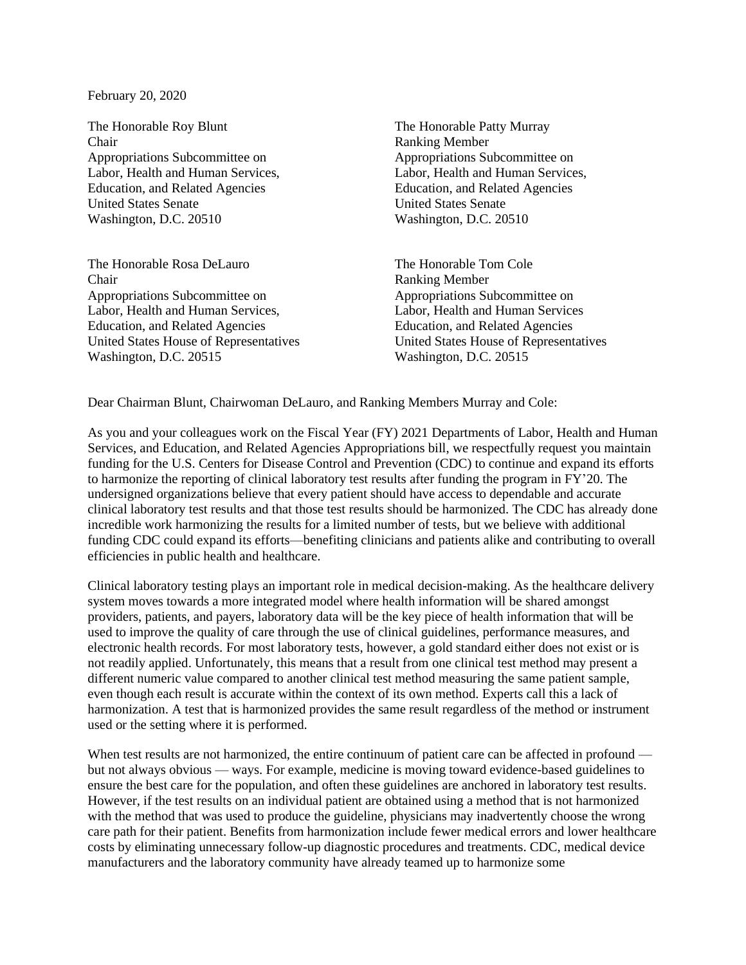February 20, 2020

The Honorable Roy Blunt The Honorable Patty Murray Chair Ranking Member Appropriations Subcommittee on Appropriations Subcommittee on Labor, Health and Human Services, Labor, Health and Human Services, Education, and Related Agencies Education, and Related Agencies United States Senate United States Senate Washington, D.C. 20510 Washington, D.C. 20510

The Honorable Rosa DeLauro The Honorable Tom Cole Chair Ranking Member Appropriations Subcommittee on Appropriations Subcommittee on Labor, Health and Human Services, Labor, Health and Human Services Education, and Related Agencies Education, and Related Agencies United States House of Representatives United States House of Representatives Washington, D.C. 20515 Washington, D.C. 20515

Dear Chairman Blunt, Chairwoman DeLauro, and Ranking Members Murray and Cole:

As you and your colleagues work on the Fiscal Year (FY) 2021 Departments of Labor, Health and Human Services, and Education, and Related Agencies Appropriations bill, we respectfully request you maintain funding for the U.S. Centers for Disease Control and Prevention (CDC) to continue and expand its efforts to harmonize the reporting of clinical laboratory test results after funding the program in FY'20. The undersigned organizations believe that every patient should have access to dependable and accurate clinical laboratory test results and that those test results should be harmonized. The CDC has already done incredible work harmonizing the results for a limited number of tests, but we believe with additional funding CDC could expand its efforts—benefiting clinicians and patients alike and contributing to overall efficiencies in public health and healthcare.

Clinical laboratory testing plays an important role in medical decision-making. As the healthcare delivery system moves towards a more integrated model where health information will be shared amongst providers, patients, and payers, laboratory data will be the key piece of health information that will be used to improve the quality of care through the use of clinical guidelines, performance measures, and electronic health records. For most laboratory tests, however, a gold standard either does not exist or is not readily applied. Unfortunately, this means that a result from one clinical test method may present a different numeric value compared to another clinical test method measuring the same patient sample, even though each result is accurate within the context of its own method. Experts call this a lack of harmonization. A test that is harmonized provides the same result regardless of the method or instrument used or the setting where it is performed.

When test results are not harmonized, the entire continuum of patient care can be affected in profound but not always obvious — ways. For example, medicine is moving toward evidence-based guidelines to ensure the best care for the population, and often these guidelines are anchored in laboratory test results. However, if the test results on an individual patient are obtained using a method that is not harmonized with the method that was used to produce the guideline, physicians may inadvertently choose the wrong care path for their patient. Benefits from harmonization include fewer medical errors and lower healthcare costs by eliminating unnecessary follow-up diagnostic procedures and treatments. CDC, medical device manufacturers and the laboratory community have already teamed up to harmonize some